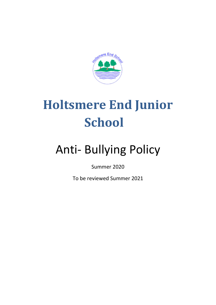

# **Holtsmere End Junior School**

# Anti- Bullying Policy

Summer 2020

To be reviewed Summer 2021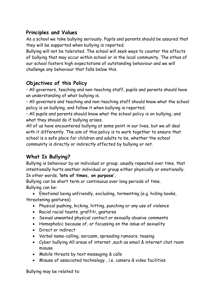#### **Principles and Values**

As a school we take bullying seriously. Pupils and parents should be assured that they will be supported when bullying is reported.

Bullying will not be tolerated. The school will seek ways to counter the effects of bullying that may occur within school or in the local community. The ethos of our school fosters high expectations of outstanding behaviour and we will challenge any behaviour that falls below this.

## **Objectives of this Policy**

• All governors, teaching and non-teaching staff, pupils and parents should have an understanding of what bullying is.

• All governors and teaching and non-teaching staff should know what the school policy is on bullying, and follow it when bullying is reported.

• All pupils and parents should know what the school policy is on bullying, and what they should do if bullying arises.

All of us have encountered bullying at some point in our lives, but we all deal with it differently. The aim of this policy is to work together to ensure that school is a safe place for children and adults to be, whether the school community is directly or indirectly affected by bullying or not.

# **What Is Bullying?**

Bullying is behaviour by an individual or group, usually repeated over time, that intentionally hurts another individual or group either physically or emotionally. In other words, **'lots of times, on purpose'.**

Bullying can be short term or continuous over long periods of time. Bullying can be:

 Emotional being unfriendly, excluding, tormenting (e.g. hiding books, threatening gestures)

- Physical pushing, kicking, hitting, punching or any use of violence
- Racial racial taunts, graffiti, gestures
- Sexual unwanted physical contact or sexually abusive comments
- Homophobic because of, or focussing on the issue of sexuality
- Direct or indirect
- Verbal name-calling, sarcasm, spreading rumours, teasing
- Cyber bullying All areas of internet ,such as email & internet chat room misuse
- Mobile threats by text messaging & calls
- Misuse of associated technology , i.e. camera & video facilities

Bullying may be related to: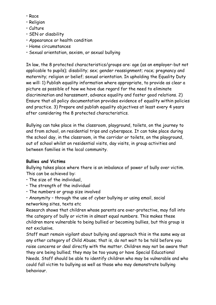- Race
- Religion
- Culture
- SEN or disability
- Appearance or health condition
- Home circumstances
- Sexual orientation, sexism, or sexual bullying

In law, the 8 protected characteristics/groups are: age (as an employer-but not applicable to pupils); disability; sex; gender reassignment; race; pregnancy and maternity; religion or belief; sexual orientation. In upholding the Equality Duty we will: 1) Publish equality information where appropriate, to provide as clear a picture as possible of how we have due regard for the need to eliminate discrimination and harassment, advance equality and foster good relations. 2) Ensure that all policy documentation provides evidence of equality within policies and practice. 3) Prepare and publish equality objectives at least every 4 years after considering the 8 protected characteristics.

Bullying can take place in the classroom, playground, toilets, on the journey to and from school, on residential trips and cyberspace. It can take place during the school day, in the classroom, in the corridor or toilets, on the playground, out of school whilst on residential visits, day visits, in group activities and between families in the local community.

#### **Bullies and Victims**

Bullying takes place where there is an imbalance of power of bully over victim. This can be achieved by:

- The size of the individual,
- The strength of the individual
- The numbers or group size involved
- Anonymity through the use of cyber bullying or using email, social networking sites, texts etc

Research shows that children whose parents are over-protective, may fall into the category of bully or victim in almost equal numbers. This makes these children more vulnerable to being bullied or becoming bullies, but this group is not exclusive.

Staff must remain vigilant about bullying and approach this in the same way as any other category of Child Abuse; that is, do not wait to be told before you raise concerns or deal directly with the matter. Children may not be aware that they are being bullied; they may be too young or have Special Educational Needs. Staff should be able to identify children who may be vulnerable and who could fall victim to bullying as well as those who may demonstrate bullying behaviour.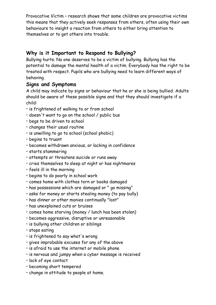Provocative Victim – research shows that some children are provocative victims this means that they actively seek responses from others, often using their own behaviours to insight a reaction from others to either bring attention to themselves or to get others into trouble.

### **Why is it Important to Respond to Bullying?**

Bullying hurts. No one deserves to be a victim of bullying. Bullying has the potential to damage the mental health of a victim. Everybody has the right to be treated with respect. Pupils who are bullying need to learn different ways of behaving.

#### **Signs and Symptoms**

A child may indicate by signs or behaviour that he or she is being bullied. Adults should be aware of these possible signs and that they should investigate if a child:

- is frightened of walking to or from school
- doesn't want to go on the school / public bus
- begs to be driven to school
- changes their usual routine
- is unwilling to go to school (school phobic)
- begins to truant
- becomes withdrawn anxious, or lacking in confidence
- starts stammering
- attempts or threatens suicide or runs away
- cries themselves to sleep at night or has nightmares
- feels ill in the morning
- begins to do poorly in school work
- comes home with clothes torn or books damaged
- has possessions which are damaged or " go missing"
- asks for money or starts stealing money (to pay bully)
- has dinner or other monies continually "lost"
- has unexplained cuts or bruises
- comes home starving (money / lunch has been stolen)
- becomes aggressive, disruptive or unreasonable
- is bullying other children or siblings
- stops eating
- is frightened to say what's wrong
- gives improbable excuses for any of the above
- is afraid to use the internet or mobile phone
- is nervous and jumpy when a cyber message is received
- lack of eye contact
- becoming short tempered
- change in attitude to people at home.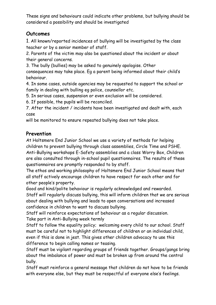These signs and behaviours could indicate other problems, but bullying should be considered a possibility and should be investigated

#### **Outcomes**

1. All known/reported incidences of bullying will be investigated by the class teacher or by a senior member of staff.

2. Parents of the victim may also be questioned about the incident or about their general concerns.

3. The bully (bullies) may be asked to genuinely apologise. Other consequences may take place. Eg a parent being informed about their child's behaviour.

4. In some cases, outside agencies may be requested to support the school or family in dealing with bulling eg police, counsellor etc.

5. In serious cases, suspension or even exclusion will be considered.

6. If possible, the pupils will be reconciled.

7. After the incident / incidents have been investigated and dealt with, each case

will be monitored to ensure repeated bullying does not take place.

#### **Prevention**

At Holtsmere End Junior School we use a variety of methods for helping children to prevent bullying through class assemblies, Circle Time and PSHE. Anti-Bullying workshops E-Safety assemblies and a class Worry Box, Children are also consulted through in-school pupil questionnaires. The results of these questionnaires are promptly responded to by staff.

The ethos and working philosophy of Holtsmere End Junior School means that all staff actively encourage children to have respect for each other and for other people's property.

Good and kind/polite behaviour is regularly acknowledged and rewarded. Staff will regularly discuss bullying, this will inform children that we are serious about dealing with bullying and leads to open conversations and increased confidence in children to want to discuss bullying.

Staff will reinforce expectations of behaviour as a regular discussion. Take part in Anti-Bullying week termly

Staff to follow the equality policy; welcoming every child to our school. Staff must be careful not to highlight differences of children or an individual child, even if this is done in jest. This gives other children advocacy to use this difference to begin calling names or teasing.

Staff must be vigilant regarding groups of friends together. Groups/gangs bring about the imbalance of power and must be broken up from around the central bully.

Staff must reinforce a general message that children do not have to be friends with everyone else, but they must be respectful of everyone else's feelings.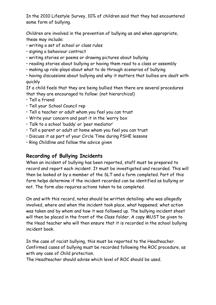In the 2010 Lifestyle Survey, 10% of children said that they had encountered some form of bullying.

Children are involved in the prevention of bullying as and when appropriate, these may include:

- writing a set of school or class rules
- signing a behaviour contract
- writing stories or poems or drawing pictures about bullying
- reading stories about bullying or having them read to a class or assembly
- making up role-plays about what to do through scenarios of bullying
- having discussions about bullying and why it matters that bullies are dealt with quickly

If a child feels that they are being bullied then there are several procedures that they are encouraged to follow: (not hierarchical)

- Tell a friend
- Tell your School Council rep
- Tell a teacher or adult whom you feel you can trust
- Write your concern and post it in the 'worry box
- Talk to a school 'buddy' or 'peer mediator'
- Tell a parent or adult at home whom you feel you can trust
- Discuss it as part of your Circle Time during PSHE lessons
- Ring Childline and follow the advice given

#### **Recording of Bullying Incidents**

When an incident of bullying has been reported, staff must be prepared to record and report each incident. It must be investigated and recorded. This will then be looked at by a member of the SLT and a form completed. Part of this form helps determine if the incident recorded can be identified as bullying or not. The form also requires actions taken to be completed.

On and with this record, notes should be written detailing: who was allegedly involved, where and when the incident took place, what happened; what action was taken and by whom and how it was followed up. The bullying incident sheet will then be placed in the front of the Class folder. A copy MUST be given to the Head teacher who will then ensure that it is recorded in the school bullying incident book.

In the case of racist bullying, this must be reported to the Headteacher. Confirmed cases of bullying must be recorded following the ROC procedure, as with any case of Child protection.

The Headteacher should advise which level of ROC should be used.